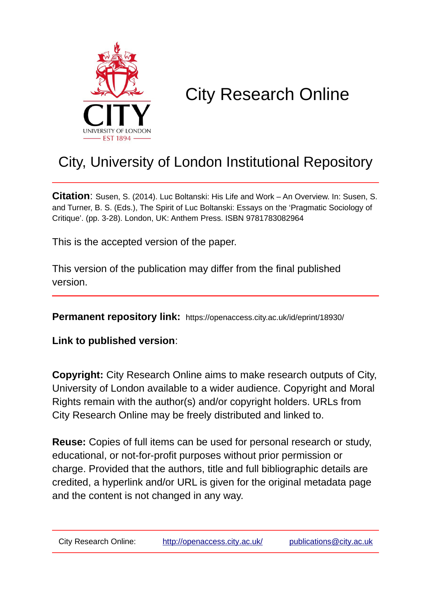

# City Research Online

## City, University of London Institutional Repository

**Citation**: Susen, S. (2014). Luc Boltanski: His Life and Work – An Overview. In: Susen, S. and Turner, B. S. (Eds.), The Spirit of Luc Boltanski: Essays on the 'Pragmatic Sociology of Critique'. (pp. 3-28). London, UK: Anthem Press. ISBN 9781783082964

This is the accepted version of the paper.

This version of the publication may differ from the final published version.

**Permanent repository link:** https://openaccess.city.ac.uk/id/eprint/18930/

**Link to published version**:

**Copyright:** City Research Online aims to make research outputs of City, University of London available to a wider audience. Copyright and Moral Rights remain with the author(s) and/or copyright holders. URLs from City Research Online may be freely distributed and linked to.

**Reuse:** Copies of full items can be used for personal research or study, educational, or not-for-profit purposes without prior permission or charge. Provided that the authors, title and full bibliographic details are credited, a hyperlink and/or URL is given for the original metadata page and the content is not changed in any way.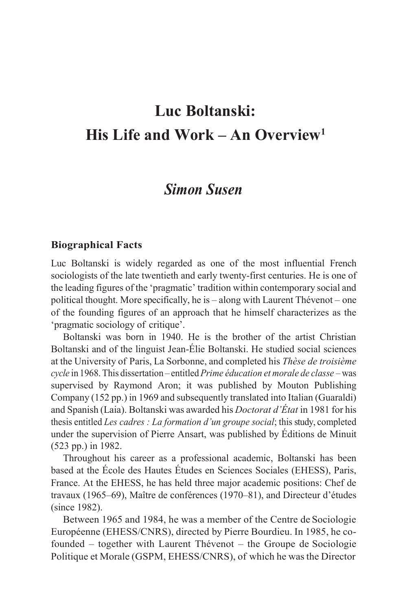## **Luc Boltanski: His Life and Work – An Overview<sup>1</sup>**

## *Simon Susen*

#### **Biographical Facts**

Luc Boltanski is widely regarded as one of the most influential French sociologists of the late twentieth and early twenty-first centuries. He is one of the leading figures of the 'pragmatic' tradition within contemporary social and political thought. More specifically, he is – along with Laurent Thévenot – one of the founding figures of an approach that he himself characterizes as the 'pragmatic sociology of critique'.

Boltanski was born in 1940. He is the brother of the artist Christian Boltanski and of the linguist Jean-Élie Boltanski. He studied social sciences at the University of Paris, La Sorbonne, and completed his *Thèse de troisième cycle* in 1968.This dissertation – entitled *Prime éducation et morale de classe* – was supervised by Raymond Aron; it was published by Mouton Publishing Company (152 pp.) in 1969 and subsequently translated into Italian (Guaraldi) and Spanish (Laia). Boltanski was awarded his *Doctorat d'État* in 1981 for his thesis entitled *Les cadres : La formation d'un groupe social*; this study, completed under the supervision of Pierre Ansart, was published by Éditions de Minuit (523 pp.) in 1982.

Throughout his career as a professional academic, Boltanski has been based at the École des Hautes Études en Sciences Sociales (EHESS), Paris, France. At the EHESS, he has held three major academic positions: Chef de travaux (1965–69), Maître de conférences (1970–81), and Directeur d'études (since 1982).

Between 1965 and 1984, he was a member of the Centre de Sociologie Européenne (EHESS/CNRS), directed by Pierre Bourdieu. In 1985, he cofounded – together with Laurent Thévenot – the Groupe de Sociologie Politique et Morale (GSPM, EHESS/CNRS), of which he wasthe Director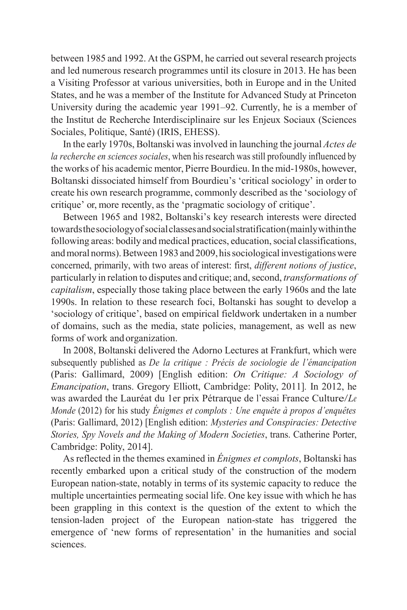between 1985 and 1992. At the GSPM, he carried out several research projects and led numerous research programmes until its closure in 2013. He has been a Visiting Professor at various universities, both in Europe and in the United States, and he was a member of the Institute for Advanced Study at Princeton University during the academic year 1991–92. Currently, he is a member of the Institut de Recherche Interdisciplinaire sur les Enjeux Sociaux (Sciences Sociales, Politique, Santé) (IRIS, EHESS).

In the early 1970s, Boltanski wasinvolved in launching the journal *Actes de la recherche en sciences sociales*, when his research was still profoundly influenced by the works of his academic mentor, Pierre Bourdieu. In the mid-1980s, however, Boltanski dissociated himself from Bourdieu's 'critical sociology' in order to create his own research programme, commonly described as the 'sociology of critique' or, more recently, as the 'pragmatic sociology of critique'.

Between 1965 and 1982, Boltanski's key research interests were directed towardsthesociologyofsocialclassesandsocialstratification(mainlywithinthe following areas: bodily and medical practices, education, social classifications, and moral norms). Between 1983 and 2009, his sociological investigations were concerned, primarily, with two areas of interest: first, *different notions of justice*, particularly in relation to disputes and critique; and, second, *transformations* of *capitalism*, especially those taking place between the early 1960s and the late 1990s. In relation to these research foci, Boltanski has sought to develop a 'sociology of critique', based on empirical fieldwork undertaken in a number of domains, such as the media, state policies, management, as well as new forms of work and organization.

In 2008, Boltanski delivered the Adorno Lectures at Frankfurt, which were subsequently published as *De la critique : Précis de sociologie de l'émancipation*  (Paris: Gallimard, 2009) [English edition: *On Critique: A Sociology of Emancipation*, trans. Gregory Elliott, Cambridge: Polity, 2011]*.* In 2012, he was awarded the Lauréat du 1er prix Pétrarque de l'essa<sup>i</sup> France Culture/*Le Monde* (2012) for his study *Énigmes et complots : Une enquête à propos d'enquêtes*  (Paris: Gallimard, 2012) [English edition: *Mysteries and Conspiracies: Detective Stories, Spy Novels and the Making of Modern Societies*, trans. Catherine Porter, Cambridge: Polity, 2014].

As reflected in the themes examined in *Énigmes et complots*, Boltanski has recently embarked upon a critical study of the construction of the modern European nation-state, notably in terms of its systemic capacity to reduce the multiple uncertainties permeating social life. One key issue with which he has been grappling in this context is the question of the extent to which the tension-laden project of the European nation-state has triggered the emergence of 'new forms of representation' in the humanities and social sciences.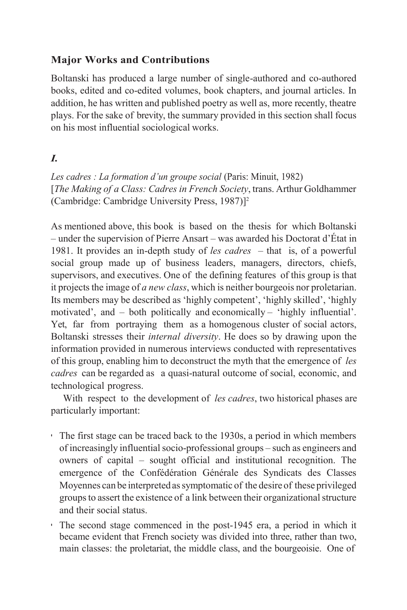## **Major Works and Contributions**

Boltanski has produced a large number of single-authored and co-authored books, edited and co-edited volumes, book chapters, and journal articles. In addition, he has written and published poetry as well as, more recently, theatre plays. For the sake of brevity, the summary provided in this section shall focus on his most influential sociological works.

## *I.*

Les cadres : La formation d'un groupe social (Paris: Minuit, 1982) [*The Making of a Class: Cadres in French Society*, trans. Arthur Goldhammer (Cambridge: Cambridge University Press, 1987)]<sup>2</sup>

As mentioned above, this book is based on the thesis for which Boltanski – under the supervision of Pierre Ansart – was awarded his Doctorat d'État in 1981. It provides an in-depth study of *les cadres* – that is, of a powerful social group made up of business leaders, managers, directors, chiefs, supervisors, and executives. One of the defining features of this group is that it projects the image of *a new class*, which is neither bourgeois nor proletarian. Its members may be described as 'highly competent', 'highly skilled', 'highly motivated', and  $-$  both politically and economically  $-$  'highly influential'. Yet, far from portraying them as a homogenous cluster of social actors, Boltanski stresses their *internal diversity*. He does so by drawing upon the information provided in numerous interviews conducted with representatives of this group, enabling him to deconstruct the myth that the emergence of *les cadres* can be regarded as a quasi-natural outcome of social, economic, and technological progress.

With respect to the development of *les cadres*, two historical phases are particularly important:

- The first stage can be traced back to the 1930s, a period in which members of increasingly influential socio-professional groups – such as engineers and owners of capital – sought official and institutional recognition. The emergence of the Confédération Générale des Syndicats des Classes Moyennes can be interpretedassymptomatic of the desire of these privileged groups to assert the existence of a link between their organizational structure and their social status.
- The second stage commenced in the post-1945 era, a period in which it became evident that French society was divided into three, rather than two, main classes: the proletariat, the middle class, and the bourgeoisie. One of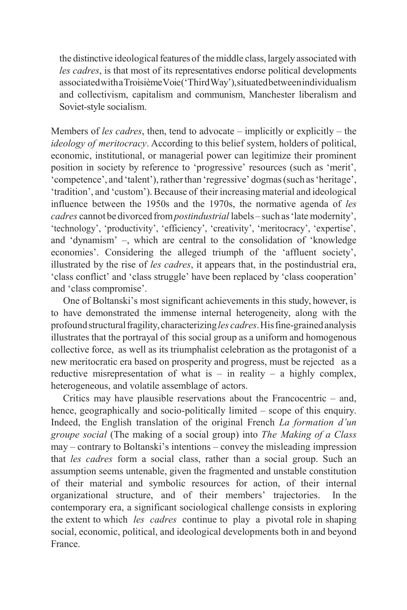the distinctive ideological features of the middle class, largely associated with *les cadres*, is that most of its representatives endorse political developments associatedwithaTroisièmeVoie('ThirdWay'),situatedbetweenindividualism and collectivism, capitalism and communism, Manchester liberalism and Soviet-style socialism.

Members of *les cadres*, then, tend to advocate – implicitly or explicitly – the *ideology of meritocracy*. According to this belief system, holders of political, economic, institutional, or managerial power can legitimize their prominent position in society by reference to 'progressive' resources (such as 'merit', 'competence', and 'talent'), rather than 'regressive' dogmas (such as 'heritage', 'tradition', and 'custom'). Because of their increasing material and ideological influence between the 1950s and the 1970s, the normative agenda of *les cadres* cannot be divorced from*postindustrial* labels – such as'late modernity', 'technology', 'productivity', 'efficiency', 'creativity', 'meritocracy', 'expertise', and 'dynamism' –, which are central to the consolidation of 'knowledge economies'. Considering the alleged triumph of the 'affluent society', illustrated by the rise of *les cadres*, it appears that, in the postindustrial era, 'class conflict' and 'class struggle' have been replaced by 'class cooperation' and 'class compromise'.

One of Boltanski's most significant achievements in this study, however, is to have demonstrated the immense internal heterogeneity, along with the profoundstructuralfragility,characterizing*les cadres*.Hisfine-grainedanalysis illustrates that the portrayal of this social group as a uniform and homogenous collective force, as well as its triumphalist celebration as the protagonist of a new meritocratic era based on prosperity and progress, must be rejected as a reductive misrepresentation of what is – in reality – a highly complex, heterogeneous, and volatile assemblage of actors.

Critics may have plausible reservations about the Francocentric – and, hence, geographically and socio-politically limited – scope of this enquiry. Indeed, the English translation of the original French *La formation d'un groupe social* (The making of a social group) into *The Making of a Class*  may – contrary to Boltanski's intentions – convey the misleading impression that *les cadres* form a social class, rather than a social group. Such an assumption seems untenable, given the fragmented and unstable constitution of their material and symbolic resources for action, of their internal organizational structure, and of their members' trajectories. In the contemporary era, a significant sociological challenge consists in exploring the extent to which *les cadres* continue to play a pivotal role in shaping social, economic, political, and ideological developments both in and beyond France.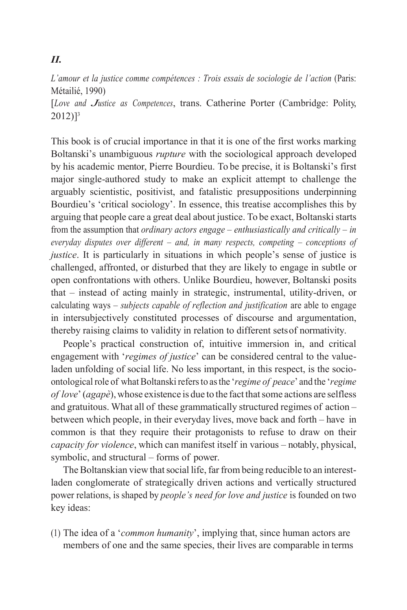#### *L'amour et la justice comme compétences : Trois essais de sociologie de l'action* (Paris: Métailié, 1990)

[*Love and Justice as Competences*, trans. Catherine Porter (Cambridge: Polity,  $2012$ ]<sup>3</sup>

This book is of crucial importance in that it is one of the first works marking Boltanski's unambiguous *rupture* with the sociological approach developed by his academic mentor, Pierre Bourdieu. To be precise, it is Boltanski's first major single-authored study to make an explicit attempt to challenge the arguably scientistic, positivist, and fatalistic presuppositions underpinning Bourdieu's 'critical sociology'. In essence, this treatise accomplishes this by arguing that people care a great deal about justice. To be exact, Boltanski starts from the assumption that *ordinary actors engage – enthusiastically and critically – in everyday disputes over different – and, in many respects, competing – conceptions of justice*. It is particularly in situations in which people's sense of justice is challenged, affronted, or disturbed that they are likely to engage in subtle or open confrontations with others. Unlike Bourdieu, however, Boltanski posits that – instead of acting mainly in strategic, instrumental, utility-driven, or calculating ways – *subjects capable of reflection and justification* are able to engage in intersubjectively constituted processes of discourse and argumentation, thereby raising claims to validity in relation to different setsof normativity.

People's practical construction of, intuitive immersion in, and critical engagement with '*regimes of justice*' can be considered central to the valueladen unfolding of social life. No less important, in this respect, is the socioontologicalrole of whatBoltanskirefersto asthe '*regime of peace*' and the '*regime of love*' (*agapè*), whose existence is due to the fact that some actions are selfless and gratuitous. What all of these grammatically structured regimes of action – between which people, in their everyday lives, move back and forth – have in common is that they require their protagonists to refuse to draw on their *capacity for violence*, which can manifest itself in various – notably, physical, symbolic, and structural – forms of power.

The Boltanskian view that social life, far from being reducible to an interestladen conglomerate of strategically driven actions and vertically structured power relations, is shaped by *people's need for love and justice* is founded on two key ideas:

(1) The idea of a '*common humanity*', implying that, since human actors are members of one and the same species, their lives are comparable in terms

#### *II.*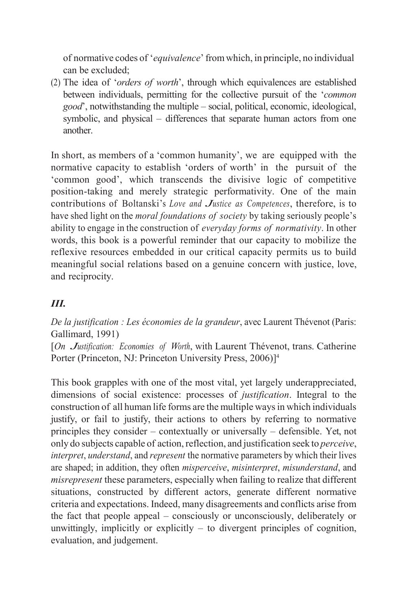of normative codes of '*equivalence*'fromwhich, in principle, no individual can be excluded;

(2) The idea of '*orders of worth*', through which equivalences are established between individuals, permitting for the collective pursuit of the '*common good*', notwithstanding the multiple – social, political, economic, ideological, symbolic, and physical – differences that separate human actors from one another.

In short, as members of a 'common humanity', we are equipped with the normative capacity to establish 'orders of worth' in the pursuit of the 'common good', which transcends the divisive logic of competitive position-taking and merely strategic performativity. One of the main contributions of Boltanski'<sup>s</sup> *Love and Justice as Competences*, therefore, is to have shed light on the *moral foundations of society* by taking seriously people's ability to engage in the construction of *everyday forms of normativity*. In other words, this book is a powerful reminder that our capacity to mobilize the reflexive resources embedded in our critical capacity permits us to build meaningful social relations based on a genuine concern with justice, love, and reciprocity.

## *III.*

*De la justification : Les économies de la grandeur*, avec Laurent Thévenot (Paris: Gallimard, 1991)

[*On Justification: Economies of Worth*, with Laurent Thévenot, trans. Catherine Porter (Princeton, NJ: Princeton University Press, 2006)]<sup>4</sup>

This book grapples with one of the most vital, yet largely underappreciated, dimensions of social existence: processes of *justification*. Integral to the construction of all human life forms are the multiple waysin which individuals justify, or fail to justify, their actions to others by referring to normative principles they consider – contextually or universally – defensible. Yet, not only do subjects capable of action, reflection, and justification seek to *perceive*, *interpret*, *understand*, and *represent* the normative parameters by which their lives are shaped; in addition, they often *misperceive*, *misinterpret*, *misunderstand*, and *misrepresent* these parameters, especially when failing to realize that different situations, constructed by different actors, generate different normative criteria and expectations. Indeed, many disagreements and conflicts arise from the fact that people appeal – consciously or unconsciously, deliberately or unwittingly, implicitly or explicitly – to divergent principles of cognition, evaluation, and judgement.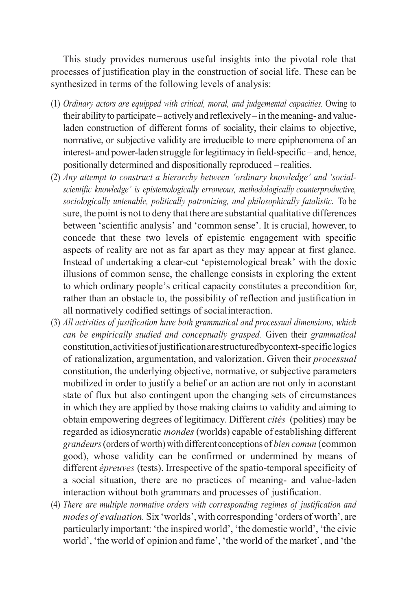This study provides numerous useful insights into the pivotal role that processes of justification play in the construction of social life. These can be synthesized in terms of the following levels of analysis:

- (1) *Ordinary actors are equipped with critical, moral, and judgemental capacities.* Owing to their ability to participate – actively and reflexively – in the meaning- and valueladen construction of different forms of sociality, their claims to objective, normative, or subjective validity are irreducible to mere epiphenomena of an interest- and power-laden struggle for legitimacy in field-specific – and, hence, positionally determined and dispositionally reproduced – realities.
- (2) *Any attempt to construct a hierarchy between 'ordinary knowledge' and 'socialscientific knowledge' is epistemologically erroneous, methodologically counterproductive, sociologically untenable, politically patronizing, and philosophically fatalistic.* To be sure, the point is not to deny that there are substantial qualitative differences between 'scientific analysis' and 'common sense'. It is crucial, however, to concede that these two levels of epistemic engagement with specific aspects of reality are not as far apart as they may appear at first glance. Instead of undertaking a clear-cut 'epistemological break' with the doxic illusions of common sense, the challenge consists in exploring the extent to which ordinary people's critical capacity constitutes a precondition for, rather than an obstacle to, the possibility of reflection and justification in all normatively codified settings of socialinteraction.
- (3) *All activities of justification have both grammatical and processual dimensions, which can be empirically studied and conceptually grasped.* Given their *grammatical*  constitution,activitiesofjustificationarestructuredbycontext-specificlogics of rationalization, argumentation, and valorization. Given their *processual*  constitution, the underlying objective, normative, or subjective parameters mobilized in order to justify a belief or an action are not only in aconstant state of flux but also contingent upon the changing sets of circumstances in which they are applied by those making claims to validity and aiming to obtain empowering degrees of legitimacy. Different *cités* (polities) may be regarded as idiosyncratic *mondes* (worlds) capable of establishing different *grandeurs*(orders of worth)withdifferent conceptions of *bien comun* (common good), whose validity can be confirmed or undermined by means of different *épreuves* (tests). Irrespective of the spatio-temporal specificity of a social situation, there are no practices of meaning- and value-laden interaction without both grammars and processes of justification.
- (4) *There are multiple normative orders with corresponding regimes of justification and modes of evaluation.* Six'worlds',with corresponding 'orders of worth', are particularly important: 'the inspired world', 'the domestic world', 'the civic world', 'the world of opinion and fame', 'the world of the market', and 'the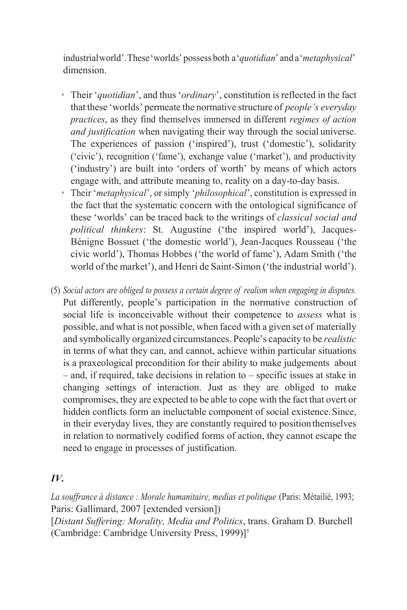industrialworld'.These'worlds' possess both a'*quotidian*' and a'*metaphysical*' dimension.

- Their '*quotidian*', and thus '*ordinary*', constitution is reflected in the fact that these 'worlds' permeate the normative structure of *people's everyday practices*, as they find themselves immersed in different *regimes of action and justification* when navigating their way through the social universe. The experiences of passion ('inspired'), trust ('domestic'), solidarity ('civic'), recognition ('fame'), exchange value ('market'), and productivity ('industry') are built into 'orders of worth' by means of which actors engage with, and attribute meaning to, reality on a day-to-day basis.
- Their '*metaphysical*', or simply '*philosophical*', constitution is expressed in the fact that the systematic concern with the ontological significance of these 'worlds' can be traced back to the writings of *classical social and political thinkers*: St. Augustine ('the inspired world'), Jacques-Bénigne Bossuet ('the domestic world'), Jean-Jacques Rousseau ('the civic world'), Thomas Hobbes ('the world of fame'), Adam Smith ('the world of the market'), and Henri de Saint-Simon ('the industrial world').
- (5) *Social actors are obliged to possess a certain degree of realism when engaging in disputes.*  Put differently, people's participation in the normative construction of social life is inconceivable without their competence to *assess* what is possible, and what is not possible, when faced with a given set of materially and symbolically organized circumstances. People's capacity to be *realistic*  in terms of what they can, and cannot, achieve within particular situations is a praxeological precondition for their ability to make judgements about – and, if required, take decisions in relation to – specific issues at stake in changing settings of interaction. Just as they are obliged to make compromises, they are expected to be able to cope with the fact that overt or hidden conflicts form an ineluctable component of social existence. Since, in their everyday lives, they are constantly required to positionthemselves in relation to normatively codified forms of action, they cannot escape the need to engage in processes of justification.

## *IV.*

La souffrance à distance : Morale humanitaire, medias et politique (Paris: Métailié, 1993; Paris: Gallimard, 2007 [extended version]) [*Distant Suffering: Morality, Media and Politics*, trans. Graham D. Burchell (Cambridge: Cambridge University Press, 1999)]5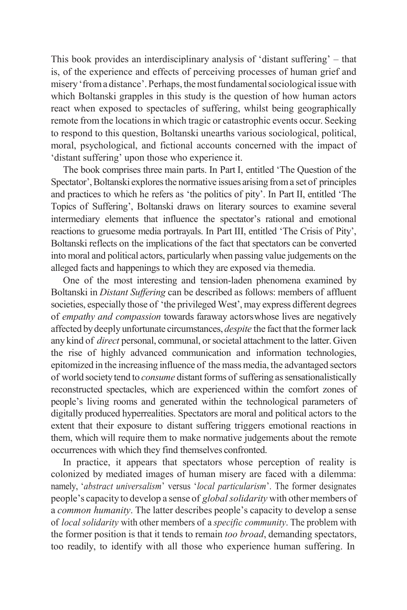This book provides an interdisciplinary analysis of 'distant suffering' – that is, of the experience and effects of perceiving processes of human grief and misery 'from a distance'. Perhaps, the most fundamental sociological issue with which Boltanski grapples in this study is the question of how human actors react when exposed to spectacles of suffering, whilst being geographically remote from the locations in which tragic or catastrophic events occur. Seeking to respond to this question, Boltanski unearths various sociological, political, moral, psychological, and fictional accounts concerned with the impact of 'distant suffering' upon those who experience it.

The book comprises three main parts. In Part I, entitled 'The Question of the Spectator', Boltanski explores the normative issues arising from a set of principles and practices to which he refers as 'the politics of pity'. In Part II, entitled 'The Topics of Suffering', Boltanski draws on literary sources to examine several intermediary elements that influence the spectator's rational and emotional reactions to gruesome media portrayals. In Part III, entitled 'The Crisis of Pity', Boltanski reflects on the implications of the fact that spectators can be converted into moral and political actors, particularly when passing value judgements on the alleged facts and happenings to which they are exposed via themedia.

One of the most interesting and tension-laden phenomena examined by Boltanski in *Distant Suffering* can be described as follows: members of affluent societies, especially those of 'the privileged West', may express different degrees of *empathy and compassion* towards faraway actorswhose lives are negatively affected by deeply unfortunate circumstances, *despite* the fact that the former lack any kind of *direct* personal, communal, orsocietal attachment to the latter. Given the rise of highly advanced communication and information technologies, epitomized in the increasing influence of the mass media, the advantaged sectors of world society tend to *consume* distant forms of suffering as sensationalistically reconstructed spectacles, which are experienced within the comfort zones of people's living rooms and generated within the technological parameters of digitally produced hyperrealities. Spectators are moral and political actors to the extent that their exposure to distant suffering triggers emotional reactions in them, which will require them to make normative judgements about the remote occurrences with which they find themselves confronted.

In practice, it appears that spectators whose perception of reality is colonized by mediated images of human misery are faced with a dilemma: namely, '*abstract universalism*' versus '*local particularism*'. The former designates people's capacity to develop a sense of *global solidarity* with other members of a *common humanity*. The latter describes people's capacity to develop a sense of *local solidarity* with other members of a *specific community*. The problem with the former position is that it tends to remain *too broad*, demanding spectators, too readily, to identify with all those who experience human suffering. In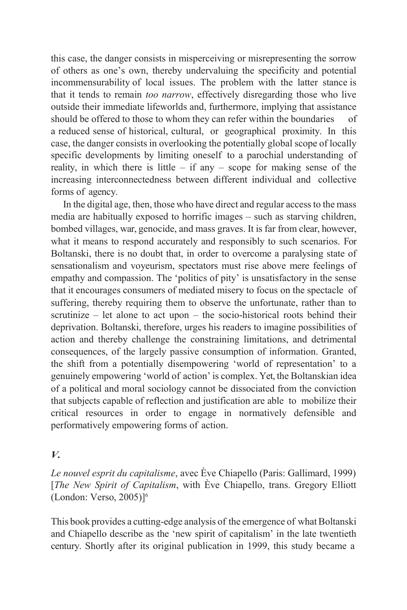this case, the danger consists in misperceiving or misrepresenting the sorrow of others as one's own, thereby undervaluing the specificity and potential incommensurability of local issues. The problem with the latter stance is that it tends to remain *too narrow*, effectively disregarding those who live outside their immediate lifeworlds and, furthermore, implying that assistance should be offered to those to whom they can refer within the boundaries of a reduced sense of historical, cultural, or geographical proximity. In this case, the danger consists in overlooking the potentially global scope of locally specific developments by limiting oneself to a parochial understanding of reality, in which there is little – if any – scope for making sense of the increasing interconnectedness between different individual and collective forms of agency.

In the digital age, then, those who have direct and regular access to the mass media are habitually exposed to horrific images – such as starving children, bombed villages, war, genocide, and mass graves. It is far from clear, however, what it means to respond accurately and responsibly to such scenarios. For Boltanski, there is no doubt that, in order to overcome a paralysing state of sensationalism and voyeurism, spectators must rise above mere feelings of empathy and compassion. The 'politics of pity' is unsatisfactory in the sense that it encourages consumers of mediated misery to focus on the spectacle of suffering, thereby requiring them to observe the unfortunate, rather than to scrutinize – let alone to act upon – the socio-historical roots behind their deprivation. Boltanski, therefore, urges his readers to imagine possibilities of action and thereby challenge the constraining limitations, and detrimental consequences, of the largely passive consumption of information. Granted, the shift from a potentially disempowering 'world of representation' to a genuinely empowering 'world of action' is complex. Yet, the Boltanskian idea of a political and moral sociology cannot be dissociated from the conviction that subjects capable of reflection and justification are able to mobilize their critical resources in order to engage in normatively defensible and performatively empowering forms of action.

#### *V.*

*Le nouvel esprit du capitalisme*, avec Ève Chiapello (Paris: Gallimard, 1999) [*The New Spirit of Capitalism*, with Ève Chiapello, trans. Gregory Elliott (London: Verso,  $2005$ )<sup>[6</sup>

This book provides a cutting-edge analysis of the emergence of what Boltanski and Chiapello describe as the 'new spirit of capitalism' in the late twentieth century. Shortly after its original publication in 1999, this study became a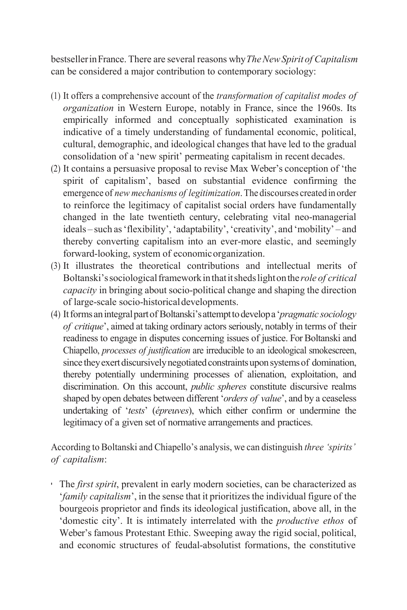bestseller in France. There are several reasons why The New Spirit of Capitalism can be considered a major contribution to contemporary sociology:

- (1) It offers a comprehensive account of the *transformation of capitalist modes of organization* in Western Europe, notably in France, since the 1960s. Its empirically informed and conceptually sophisticated examination is indicative of a timely understanding of fundamental economic, political, cultural, demographic, and ideological changes that have led to the gradual consolidation of a 'new spirit' permeating capitalism in recent decades.
- (2) It contains a persuasive proposal to revise Max Weber's conception of 'the spirit of capitalism', based on substantial evidence confirming the emergence of *new mechanisms of legitimization*.The discourses created in order to reinforce the legitimacy of capitalist social orders have fundamentally changed in the late twentieth century, celebrating vital neo-managerial ideals – such as 'flexibility', 'adaptability', 'creativity', and 'mobility' – and thereby converting capitalism into an ever-more elastic, and seemingly forward-looking, system of economicorganization.
- (3) It illustrates the theoretical contributions and intellectual merits of Boltanski'ssociologicalframeworkinthatitshedslightonthe *role of critical capacity* in bringing about socio-political change and shaping the direction of large-scale socio-historicaldevelopments.
- (4) Itformsanintegralpartof Boltanski'sattempttodevelopa '*pragmatic sociology of critique*', aimed at taking ordinary actors seriously, notably in terms of their readiness to engage in disputes concerning issues of justice. For Boltanski and Chiapello, *processes of justification* are irreducible to an ideological smokescreen, since they exert discursively negotiated constraints upon systems of domination, thereby potentially undermining processes of alienation, exploitation, and discrimination. On this account, *public spheres* constitute discursive realms shaped by open debates between different '*orders of value*', and by a ceaseless undertaking of '*tests*' (*épreuves*), which either confirm or undermine the legitimacy of a given set of normative arrangements and practices.

According to Boltanski and Chiapello's analysis, we can distinguish *three 'spirits' of capitalism*:

• The *first spirit*, prevalent in early modern societies, can be characterized as '*family capitalism*', in the sense that it prioritizes the individual figure of the bourgeois proprietor and finds its ideological justification, above all, in the 'domestic city'. It is intimately interrelated with the *productive ethos* of Weber's famous Protestant Ethic. Sweeping away the rigid social, political, and economic structures of feudal-absolutist formations, the constitutive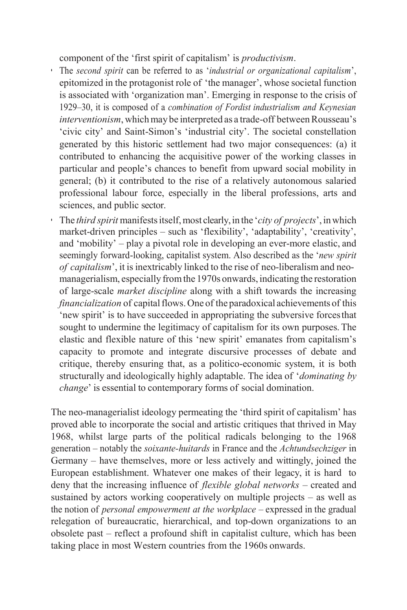component of the 'first spirit of capitalism' is *productivism*.

- The *second spirit* can be referred to as '*industrial or organizational capitalism*', epitomized in the protagonist role of 'the manager', whose societal function is associated with 'organization man'. Emerging in response to the crisis of 1929–30, it is composed of a *combination of Fordist industrialism and Keynesian interventionism*, which may be interpreted as a trade-off between Rousseau's 'civic city' and Saint-Simon's 'industrial city'. The societal constellation generated by this historic settlement had two major consequences: (a) it contributed to enhancing the acquisitive power of the working classes in particular and people's chances to benefit from upward social mobility in general; (b) it contributed to the rise of a relatively autonomous salaried professional labour force, especially in the liberal professions, arts and sciences, and public sector.
- The *third spirit* manifestsitself,most clearly,in the '*city of projects*',inwhich market-driven principles – such as 'flexibility', 'adaptability', 'creativity', and 'mobility' – play a pivotal role in developing an ever-more elastic, and seemingly forward-looking, capitalist system. Also described as the '*new spirit of capitalism*', it is inextricably linked to the rise of neo-liberalism and neomanagerialism, especially fromthe 1970s onwards, indicating the restoration of large-scale *market discipline* along with a shift towards the increasing *financialization* of capital flows. One of the paradoxical achievements of this 'new spirit' is to have succeeded in appropriating the subversive forcesthat sought to undermine the legitimacy of capitalism for its own purposes. The elastic and flexible nature of this 'new spirit' emanates from capitalism's capacity to promote and integrate discursive processes of debate and critique, thereby ensuring that, as a politico-economic system, it is both structurally and ideologically highly adaptable. The idea of '*dominating by change*' is essential to contemporary forms of social domination.

The neo-managerialist ideology permeating the 'third spirit of capitalism' has proved able to incorporate the social and artistic critiques that thrived in May 1968, whilst large parts of the political radicals belonging to the 1968 generation – notably the *soixante-huitards* in France and the *Achtundsechziger* in Germany – have themselves, more or less actively and wittingly, joined the European establishment. Whatever one makes of their legacy, it is hard to deny that the increasing influence of *flexible global networks* – created and sustained by actors working cooperatively on multiple projects – as well as the notion of *personal empowerment at the workplace* – expressed in the gradual relegation of bureaucratic, hierarchical, and top-down organizations to an obsolete past – reflect a profound shift in capitalist culture, which has been taking place in most Western countries from the 1960s onwards.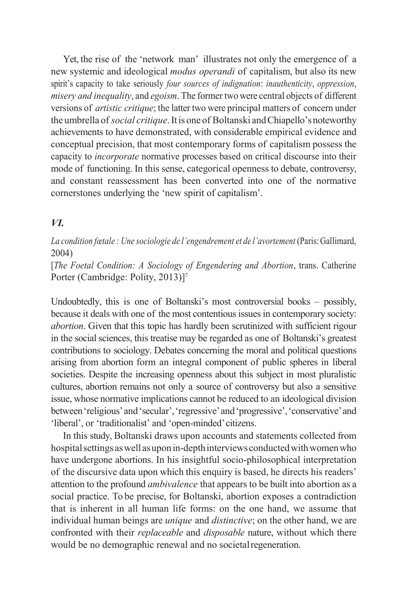Yet, the rise of the 'network man' illustrates not only the emergence of a new systemic and ideological *modus operandi* of capitalism, but also its new spirit's capacity to take seriously *four sources of indignation*: *inauthenticity*, *oppression*, *misery and inequality*, and *egoism*. The former two were central objects of different versions of *artistic critique*; the latter two were principal matters of concern under the umbrella of *social critique*.Itis one of Boltanski andChiapello'snoteworthy achievements to have demonstrated, with considerable empirical evidence and conceptual precision, that most contemporary forms of capitalism possess the capacity to *incorporate* normative processes based on critical discourse into their mode of functioning. In this sense, categorical openness to debate, controversy, and constant reassessment has been converted into one of the normative cornerstones underlying the 'new spirit of capitalism'.

#### *VI.*

*La condition fœtale : Une sociologie de l'engendrement et de l'avortement* (Paris: Gallimard, 2004)

[*The Foetal Condition: A Sociology of Engendering and Abortion*, trans. Catherine Porter (Cambridge: Polity, 2013)<sup>[7</sup>

Undoubtedly, this is one of Boltanski's most controversial books – possibly, because it deals with one of the most contentious issues in contemporary society: *abortion*. Given that this topic has hardly been scrutinized with sufficient rigour in the social sciences, this treatise may be regarded as one of Boltanski's greatest contributions to sociology. Debates concerning the moral and political questions arising from abortion form an integral component of public spheres in liberal societies. Despite the increasing openness about this subject in most pluralistic cultures, abortion remains not only a source of controversy but also a sensitive issue, whose normative implications cannot be reduced to an ideological division between'religious'and'secular','regressive'and'progressive','conservative'and 'liberal', or 'traditionalist' and 'open-minded'citizens.

In this study, Boltanski draws upon accounts and statements collected from hospital settings as well as upon in-depth interviews conducted with women who have undergone abortions. In his insightful socio-philosophical interpretation of the discursive data upon which this enquiry is based, he directs his readers' attention to the profound *ambivalence* that appears to be built into abortion as a social practice. To be precise, for Boltanski, abortion exposes a contradiction that is inherent in all human life forms: on the one hand, we assume that individual human beings are *unique* and *distinctive*; on the other hand, we are confronted with their *replaceable* and *disposable* nature, without which there would be no demographic renewal and no societal regeneration.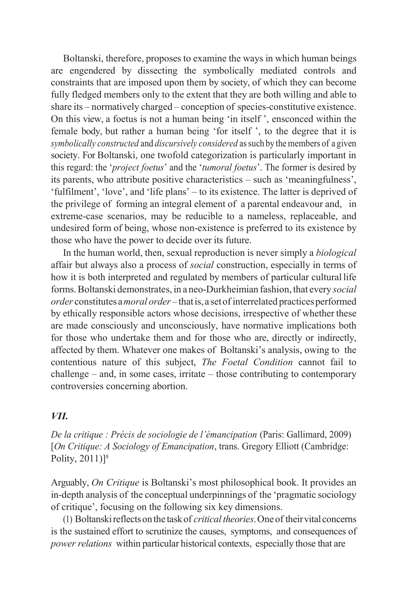Boltanski, therefore, proposes to examine the ways in which human beings are engendered by dissecting the symbolically mediated controls and constraints that are imposed upon them by society, of which they can become fully fledged members only to the extent that they are both willing and able to share its – normatively charged – conception of species-constitutive existence. On this view, a foetus is not a human being 'in itself ', ensconced within the female body, but rather a human being 'for itself ', to the degree that it is *symbolically constructed* and *discursively considered* assuch by the members of a given society. For Boltanski, one twofold categorization is particularly important in this regard: the '*project foetus*' and the '*tumoral foetus*'. The former is desired by its parents, who attribute positive characteristics – such as 'meaningfulness', 'fulfilment', 'love', and 'life plans' – to its existence. The latter is deprived of the privilege of forming an integral element of a parental endeavour and, in extreme-case scenarios, may be reducible to a nameless, replaceable, and undesired form of being, whose non-existence is preferred to its existence by those who have the power to decide over its future.

In the human world, then, sexual reproduction is never simply a *biological*  affair but always also a process of *social* construction, especially in terms of how it is both interpreted and regulated by members of particular cultural life forms.Boltanski demonstrates, in a neo-Durkheimian fashion, that every *social order* constitutes a *moral order* – that is, a set of interrelated practices performed by ethically responsible actors whose decisions, irrespective of whether these are made consciously and unconsciously, have normative implications both for those who undertake them and for those who are, directly or indirectly, affected by them. Whatever one makes of Boltanski's analysis, owing to the contentious nature of this subject, *The Foetal Condition* cannot fail to challenge – and, in some cases, irritate – those contributing to contemporary controversies concerning abortion.

#### *VII.*

*De la critique : Précis de sociologie de l'émancipation* (Paris: Gallimard, 2009) [*On Critique: A Sociology of Emancipation*, trans. Gregory Elliott (Cambridge: Polity,  $2011$ ]<sup>8</sup>

Arguably, *On Critique* is Boltanski's most philosophical book. It provides an in-depth analysis of the conceptual underpinnings of the 'pragmatic sociology of critique', focusing on the following six key dimensions.

(1) Boltanskireflectson the taskof *critical theories*.One of theirvitalconcerns is the sustained effort to scrutinize the causes, symptoms, and consequences of *power relations* within particular historical contexts, especially those that are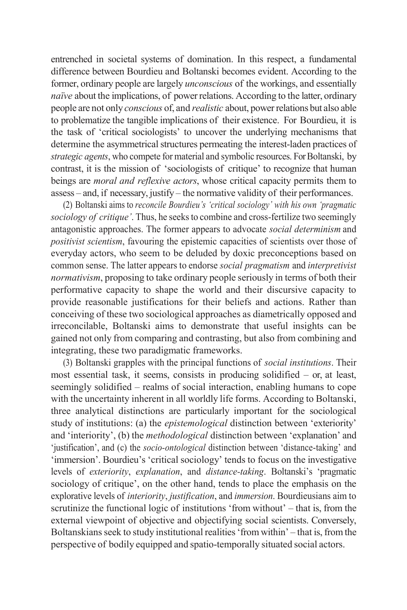entrenched in societal systems of domination. In this respect, a fundamental difference between Bourdieu and Boltanski becomes evident. According to the former, ordinary people are largely *unconscious* of the workings, and essentially *naïve* about the implications, of power relations. According to the latter, ordinary people are not only *conscious* of, and *realistic* about, power relations but also able to problematize the tangible implications of their existence. For Bourdieu, it is the task of 'critical sociologists' to uncover the underlying mechanisms that determine the asymmetrical structures permeating the interest-laden practices of *strategic agents*, who compete for material and symbolic resources. For Boltanski, by contrast, it is the mission of 'sociologists of critique' to recognize that human beings are *moral and reflexive actors*, whose critical capacity permits them to assess – and, if necessary, justify – the normative validity of their performances.

(2) Boltanski aims to *reconcile Bourdieu's 'critical sociology' with his own 'pragmatic sociology of critique'*. Thus, he seeks to combine and cross-fertilize two seemingly antagonistic approaches. The former appears to advocate *social determinism* and *positivist scientism*, favouring the epistemic capacities of scientists over those of everyday actors, who seem to be deluded by doxic preconceptions based on common sense. The latter appears to endorse *social pragmatism* and *interpretivist normativism*, proposing to take ordinary people seriously in terms of both their performative capacity to shape the world and their discursive capacity to provide reasonable justifications for their beliefs and actions. Rather than conceiving of these two sociological approaches as diametrically opposed and irreconcilable, Boltanski aims to demonstrate that useful insights can be gained not only from comparing and contrasting, but also from combining and integrating, these two paradigmatic frameworks.

(3) Boltanski grapples with the principal functions of *social institutions*. Their most essential task, it seems, consists in producing solidified – or, at least, seemingly solidified – realms of social interaction, enabling humans to cope with the uncertainty inherent in all worldly life forms. According to Boltanski, three analytical distinctions are particularly important for the sociological study of institutions: (a) the *epistemological* distinction between 'exteriority' and 'interiority', (b) the *methodological* distinction between 'explanation' and 'justification', and (c) the *socio-ontological* distinction between 'distance-taking' and 'immersion'. Bourdieu's 'critical sociology' tends to focus on the investigative levels of *exteriority*, *explanation*, and *distance-taking*. Boltanski's 'pragmatic sociology of critique', on the other hand, tends to place the emphasis on the explorative levels of *interiority*, *justification*, and *immersion*. Bourdieusians aim to scrutinize the functional logic of institutions 'from without' – that is, from the external viewpoint of objective and objectifying social scientists. Conversely, Boltanskians seek to study institutional realities 'from within' – that is, from the perspective of bodily equipped and spatio-temporally situated social actors.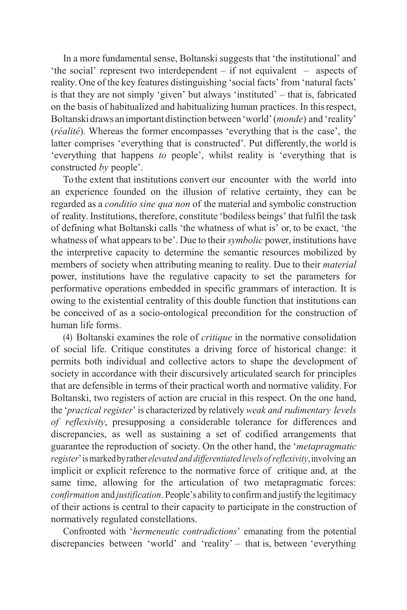In a more fundamental sense, Boltanski suggests that 'the institutional' and 'the social' represent two interdependent – if not equivalent – aspects of reality. One of the key features distinguishing 'social facts' from 'natural facts' is that they are not simply 'given' but always 'instituted' – that is, fabricated on the basis of habitualized and habitualizing human practices. In thisrespect, Boltanskidraws an importantdistinction between'world'(*monde*) and 'reality' (*réalité*). Whereas the former encompasses 'everything that is the case', the latter comprises 'everything that is constructed'. Put differently, the world is 'everything that happens *to* people', whilst reality is 'everything that is constructed *by* people'.

To the extent that institutions convert our encounter with the world into an experience founded on the illusion of relative certainty, they can be regarded as a *conditio sine qua non* of the material and symbolic construction of reality. Institutions, therefore, constitute 'bodiless beings' that fulfil the task of defining what Boltanski calls 'the whatness of what is' or, to be exact, 'the whatness of what appears to be'. Due to their *symbolic* power, institutions have the interpretive capacity to determine the semantic resources mobilized by members of society when attributing meaning to reality. Due to their *material*  power, institutions have the regulative capacity to set the parameters for performative operations embedded in specific grammars of interaction. It is owing to the existential centrality of this double function that institutions can be conceived of as a socio-ontological precondition for the construction of human life forms.

(4) Boltanski examines the role of *critique* in the normative consolidation of social life. Critique constitutes a driving force of historical change: it permits both individual and collective actors to shape the development of society in accordance with their discursively articulated search for principles that are defensible in terms of their practical worth and normative validity. For Boltanski, two registers of action are crucial in this respect. On the one hand, the '*practical register*' is characterized by relatively *weak and rudimentary levels of reflexivity*, presupposing a considerable tolerance for differences and discrepancies, as well as sustaining a set of codified arrangements that guarantee the reproduction of society. On the other hand, the '*metapragmatic register*'ismarkedbyrather *elevated and differentiated levels of reflexivity*,involving an implicit or explicit reference to the normative force of critique and, at the same time, allowing for the articulation of two metapragmatic forces: *confirmation* and *justification*. People's ability to confirm and justify the legitimacy of their actions is central to their capacity to participate in the construction of normatively regulated constellations.

Confronted with '*hermeneutic contradictions*' emanating from the potential discrepancies between 'world' and 'reality' – that is, between 'everything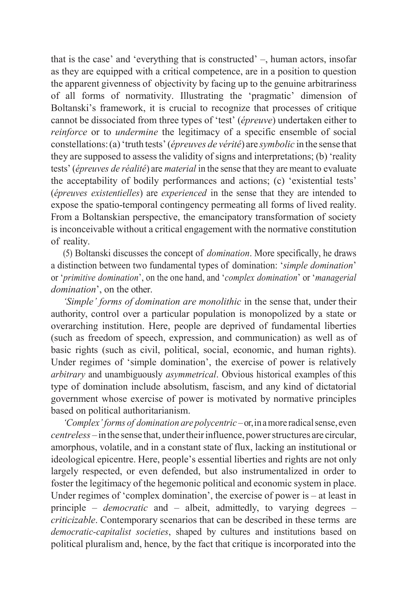that is the case' and 'everything that is constructed' –, human actors, insofar as they are equipped with a critical competence, are in a position to question the apparent givenness of objectivity by facing up to the genuine arbitrariness of all forms of normativity. Illustrating the 'pragmatic' dimension of Boltanski's framework, it is crucial to recognize that processes of critique cannot be dissociated from three types of 'test' (*épreuve*) undertaken either to *reinforce* or to *undermine* the legitimacy of a specific ensemble of social constellations:(a)'truth tests'(*épreuves de vérité*) are *symbolic* in the sense that they are supposed to assess the validity of signs and interpretations; (b) 'reality tests' (*épreuves de réalité*) are *material* in the sense that they are meant to evaluate the acceptability of bodily performances and actions; (c) 'existential tests' (*épreuves existentielles*) are *experienced* in the sense that they are intended to expose the spatio-temporal contingency permeating all forms of lived reality. From a Boltanskian perspective, the emancipatory transformation of society is inconceivable without a critical engagement with the normative constitution of reality.

(5) Boltanski discusses the concept of *domination*. More specifically, he draws a distinction between two fundamental types of domination: '*simple domination*' or '*primitive domination*', on the one hand, and '*complex domination*' or '*managerial domination*', on the other.

*'Simple' forms of domination are monolithic* in the sense that, under their authority, control over a particular population is monopolized by a state or overarching institution. Here, people are deprived of fundamental liberties (such as freedom of speech, expression, and communication) as well as of basic rights (such as civil, political, social, economic, and human rights). Under regimes of 'simple domination', the exercise of power is relatively *arbitrary* and unambiguously *asymmetrical*. Obvious historical examples of this type of domination include absolutism, fascism, and any kind of dictatorial government whose exercise of power is motivated by normative principles based on political authoritarianism.

*'Complex'forms of domination are polycentric* –or,inamore radicalsense, even *centreless* –in the sense that, undertheirinfluence,powerstructures are circular, amorphous, volatile, and in a constant state of flux, lacking an institutional or ideological epicentre. Here, people's essential liberties and rights are not only largely respected, or even defended, but also instrumentalized in order to foster the legitimacy of the hegemonic political and economic system in place. Under regimes of 'complex domination', the exercise of power is – at least in principle – *democratic* and – albeit, admittedly, to varying degrees – *criticizable*. Contemporary scenarios that can be described in these terms are *democratic-capitalist societies*, shaped by cultures and institutions based on political pluralism and, hence, by the fact that critique is incorporated into the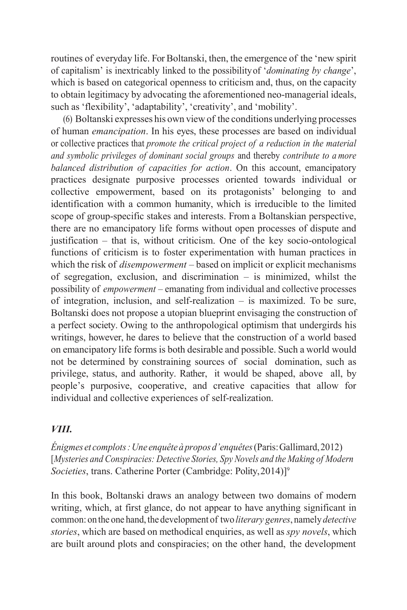routines of everyday life. For Boltanski, then, the emergence of the 'new spirit of capitalism' is inextricably linked to the possibilityof '*dominating by change*', which is based on categorical openness to criticism and, thus, on the capacity to obtain legitimacy by advocating the aforementioned neo-managerial ideals, such as 'flexibility', 'adaptability', 'creativity', and 'mobility'.

(6) Boltanski expresses his own view of the conditions underlying processes of human *emancipation*. In his eyes, these processes are based on individual or collective practices that *promote the critical project of a reduction in the material and symbolic privileges of dominant social groups* and thereby *contribute to a more balanced distribution of capacities for action*. On this account, emancipatory practices designate purposive processes oriented towards individual or collective empowerment, based on its protagonists' belonging to and identification with a common humanity, which is irreducible to the limited scope of group-specific stakes and interests. From a Boltanskian perspective, there are no emancipatory life forms without open processes of dispute and justification – that is, without criticism. One of the key socio-ontological functions of criticism is to foster experimentation with human practices in which the risk of *disempowerment* – based on implicit or explicit mechanisms of segregation, exclusion, and discrimination – is minimized, whilst the possibility of *empowerment* – emanating from individual and collective processes of integration, inclusion, and self-realization – is maximized. To be sure, Boltanski does not propose a utopian blueprint envisaging the construction of a perfect society. Owing to the anthropological optimism that undergirds his writings, however, he dares to believe that the construction of a world based on emancipatory life forms is both desirable and possible. Such a world would not be determined by constraining sources of social domination, such as privilege, status, and authority. Rather, it would be shaped, above all, by people's purposive, cooperative, and creative capacities that allow for individual and collective experiences of self-realization.

### *VIII.*

*Énigmes et complots:Une enquête à propos d'enquêtes*(Paris:Gallimard,2012) [*Mysteries and Conspiracies: Detective Stories, Spy Novels and the Making of Modern Societies*, trans. Catherine Porter (Cambridge: Polity, 2014)]<sup>9</sup>

In this book, Boltanski draws an analogy between two domains of modern writing, which, at first glance, do not appear to have anything significant in common: on the one hand, the development of two *literary* genres, namely *detective stories*, which are based on methodical enquiries, as well as *spy novels*, which are built around plots and conspiracies; on the other hand, the development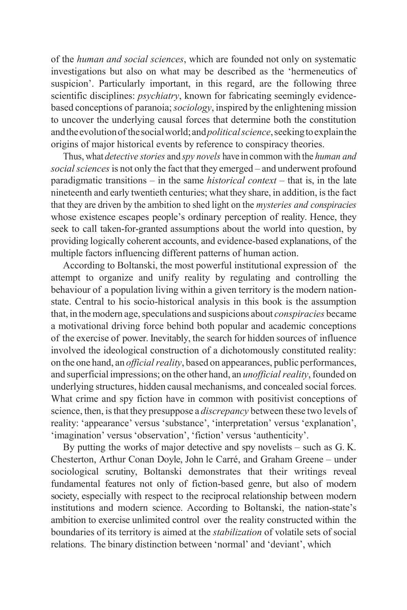of the *human and social sciences*, which are founded not only on systematic investigations but also on what may be described as the 'hermeneutics of suspicion'. Particularly important, in this regard, are the following three scientific disciplines: *psychiatry*, known for fabricating seemingly evidencebased conceptions of paranoia;*sociology*, inspired by the enlightening mission to uncover the underlying causal forces that determine both the constitution andtheevolutionof thesocialworld;and*politicalscience*,seekingtoexplainthe origins of major historical events by reference to conspiracy theories.

Thus, what *detective stories* and *spy novels* have in common with the *human and social sciences* is not only the fact that they emerged – and underwent profound paradigmatic transitions – in the same *historical context* – that is, in the late nineteenth and early twentieth centuries; what they share, in addition, isthe fact that they are driven by the ambition to shed light on the *mysteries and conspiracies*  whose existence escapes people's ordinary perception of reality. Hence, they seek to call taken-for-granted assumptions about the world into question, by providing logically coherent accounts, and evidence-based explanations, of the multiple factors influencing different patterns of human action.

According to Boltanski, the most powerful institutional expression of the attempt to organize and unify reality by regulating and controlling the behaviour of a population living within a given territory is the modern nationstate. Central to his socio-historical analysis in this book is the assumption that, in the modern age, speculations and suspicions about *conspiracies* became a motivational driving force behind both popular and academic conceptions of the exercise of power. Inevitably, the search for hidden sources of influence involved the ideological construction of a dichotomously constituted reality: on the one hand, an *official reality*, based on appearances, public performances, and superficial impressions; on the other hand, an *unofficial reality*, founded on underlying structures, hidden causal mechanisms, and concealed social forces. What crime and spy fiction have in common with positivist conceptions of science, then, is that they presuppose a *discrepancy* between these two levels of reality: 'appearance' versus 'substance', 'interpretation' versus 'explanation', 'imagination' versus 'observation', 'fiction' versus 'authenticity'.

By putting the works of major detective and spy novelists – such as G. K. Chesterton, Arthur Conan Doyle, John le Carré, and Graham Greene – under sociological scrutiny, Boltanski demonstrates that their writings reveal fundamental features not only of fiction-based genre, but also of modern society, especially with respect to the reciprocal relationship between modern institutions and modern science. According to Boltanski, the nation-state's ambition to exercise unlimited control over the reality constructed within the boundaries of its territory is aimed at the *stabilization* of volatile sets of social relations. The binary distinction between 'normal' and 'deviant', which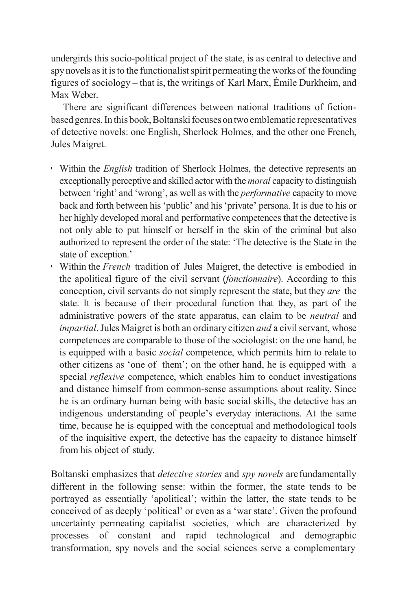undergirds this socio-political project of the state, is as central to detective and spy novels as it is to the functionalist spirit permeating the works of the founding figures of sociology – that is, the writings of Karl Marx, Émile Durkheim, and Max Weber.

There are significant differences between national traditions of fictionbasedgenres.In thisbook,Boltanskifocusesontwoemblematic representatives of detective novels: one English, Sherlock Holmes, and the other one French, Jules Maigret.

- Within the *English* tradition of Sherlock Holmes, the detective represents an exceptionally perceptive and skilled actor with the *moral* capacity to distinguish between 'right' and 'wrong', as well as with the *performative* capacity to move back and forth between his 'public' and his 'private' persona. It is due to his or her highly developed moral and performative competences that the detective is not only able to put himself or herself in the skin of the criminal but also authorized to represent the order of the state: 'The detective is the State in the state of exception.'
- Within the *French* tradition of Jules Maigret, the detective is embodied in the apolitical figure of the civil servant (*fonctionnaire*). According to this conception, civil servants do not simply represent the state, but they *are* the state. It is because of their procedural function that they, as part of the administrative powers of the state apparatus, can claim to be *neutral* and *impartial*. Jules Maigret is both an ordinary citizen *and* a civil servant, whose competences are comparable to those of the sociologist: on the one hand, he is equipped with a basic *social* competence, which permits him to relate to other citizens as 'one of them'; on the other hand, he is equipped with a special *reflexive* competence, which enables him to conduct investigations and distance himself from common-sense assumptions about reality. Since he is an ordinary human being with basic social skills, the detective has an indigenous understanding of people's everyday interactions. At the same time, because he is equipped with the conceptual and methodological tools of the inquisitive expert, the detective has the capacity to distance himself from his object of study.

Boltanski emphasizes that *detective stories* and *spy novels* are fundamentally different in the following sense: within the former, the state tends to be portrayed as essentially 'apolitical'; within the latter, the state tends to be conceived of as deeply 'political' or even as a 'war state'. Given the profound uncertainty permeating capitalist societies, which are characterized by processes of constant and rapid technological and demographic transformation, spy novels and the social sciences serve a complementary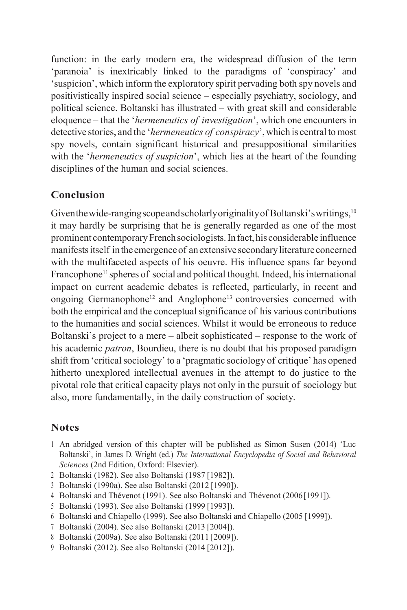function: in the early modern era, the widespread diffusion of the term 'paranoia' is inextricably linked to the paradigms of 'conspiracy' and 'suspicion', which inform the exploratory spirit pervading both spy novels and positivistically inspired social science – especially psychiatry, sociology, and political science. Boltanski has illustrated – with great skill and considerable eloquence – that the '*hermeneutics of investigation*', which one encounters in detective stories, and the '*hermeneutics of conspiracy*',which is central tomost spy novels, contain significant historical and presuppositional similarities with the '*hermeneutics of suspicion*', which lies at the heart of the founding disciplines of the human and social sciences.

## **Conclusion**

Given the wide-ranging scope and scholarly originality of Boltanski's writings,<sup>10</sup> it may hardly be surprising that he is generally regarded as one of the most prominent contemporary French sociologists. In fact, his considerable influence manifests itself in the emergence of an extensive secondary literature concerned with the multifaceted aspects of his oeuvre. His influence spans far beyond Francophone<sup>11</sup> spheres of social and political thought. Indeed, his international impact on current academic debates is reflected, particularly, in recent and ongoing Germanophone<sup>12</sup> and Anglophone<sup>13</sup> controversies concerned with both the empirical and the conceptual significance of his various contributions to the humanities and social sciences. Whilst it would be erroneous to reduce Boltanski's project to a mere – albeit sophisticated – response to the work of his academic *patron*, Bourdieu, there is no doubt that his proposed paradigm shift from 'critical sociology' to a 'pragmatic sociology of critique' has opened hitherto unexplored intellectual avenues in the attempt to do justice to the pivotal role that critical capacity plays not only in the pursuit of sociology but also, more fundamentally, in the daily construction of society.

## **Notes**

- <sup>1</sup> An abridged version of this chapter will be published as Simon Susen (2014) 'Luc Boltanski', in James D. Wright (ed.) *The International Encyclopedia of Social and Behavioral Sciences* (2nd Edition, Oxford: Elsevier).
- <sup>2</sup> Boltanski (1982). See also Boltanski (1987 [1982]).
- <sup>3</sup> Boltanski (1990a). See also Boltanski (2012 [1990]).
- 4 Boltanski and Thévenot (1991). See also Boltanski and Thévenot (2006[1991]).
- 5 Boltanski (1993). See also Boltanski (1999 [1993]).
- 6 Boltanski and Chiapello (1999). See also Boltanski and Chiapello (2005 [1999]).
- 7 Boltanski (2004). See also Boltanski (2013 [2004]).
- 8 Boltanski (2009a). See also Boltanski (2011 [2009]).
- <sup>9</sup> Boltanski (2012). See also Boltanski (2014 [2012]).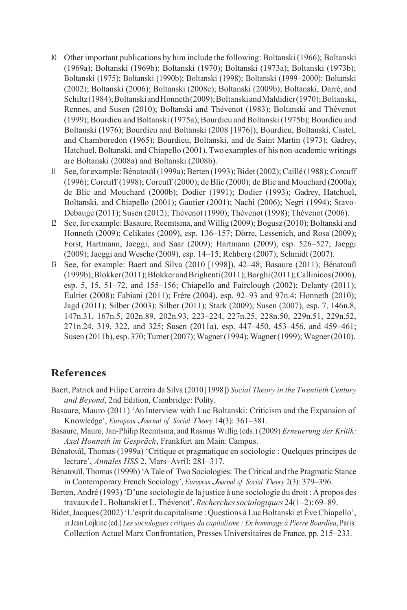- 10 Other important publications by him include the following: Boltanski (1966); Boltanski (1969a); Boltanski (1969b); Boltanski (1970); Boltanski (1973a); Boltanski (1973b); Boltanski (1975); Boltanski (1990b); Boltanski (1998); Boltanski (1999–2000); Boltanski (2002); Boltanski (2006); Boltanski (2008c); Boltanski (2009b); Boltanski, Darré, and Schiltz(1984); Boltanski and Honneth(2009); Boltanski and Maldidier(1970); Boltanski, Rennes, and Susen (2010); Boltanski and Thévenot (1983); Boltanski and Thévenot (1999);Bourdieu and Boltanski(1975a);Bourdieu andBoltanski (1975b);Bourdieu and Boltanski (1976); Bourdieu and Boltanski (2008 [1976]); Bourdieu, Boltanski, Castel, and Chamboredon (1965); Bourdieu, Boltanski, and de Saint Martin (1973); Gadrey, Hatchuel, Boltanski, and Chiapello (2001). Two examples of his non-academic writings are Boltanski (2008a) and Boltanski (2008b).
- 11 See,for example:Bénatouïl(1999a);Berten (1993);Bidet(2002);Caillé (1988);Corcuff (1996); Corcuff (1998); Corcuff (2000); de Blic (2000); de Blic and Mouchard (2000a); de Blic and Mouchard (2000b); Dodier (1991); Dodier (1993); Gadrey, Hatchuel, Boltanski, and Chiapello (2001); Gautier (2001); Nachi (2006); Negri (1994); Stavo-Debauge (2011); Susen (2012); Thévenot (1990); Thévenot (1998); Thévenot (2006).
- 12 See, for example: Basaure, Reemtsma, and Willig  $(2009)$ ; Bogusz  $(2010)$ ; Boltanski and Honneth (2009); Celikates (2009), esp. 136–157; Dörre, Lessenich, and Rosa (2009); Forst, Hartmann, Jaeggi, and Saar (2009); Hartmann (2009), esp. 526–527; Jaeggi (2009); Jaeggi and Wesche (2009), esp. 14–15; Rehberg (2007); Schmidt (2007).
- 13 See, for example: Baert and Silva (2010 [1998]), 42–48; Basaure (2011); Bénatouïl (1999b);Blokker(2011);BlokkerandBrighenti(2011);Borghi(2011);Callinicos(2006), esp. 5, 15, 51–72, and 155–156; Chiapello and Fairclough (2002); Delanty (2011); Eulriet (2008); Fabiani (2011); Frère (2004), esp. 92–93 and 97n.4; Honneth (2010); Jagd (2011); Silber (2003); Silber (2011); Stark (2009); Susen (2007), esp. 7, 146n.8, 147n.31, 167n.5, 202n.89, 202n.93, 223–224, 227n.25, 228n.50, 229n.51, 229n.52, 271n.24, 319, 322, and 325; Susen (2011a), esp. 447–450, 453–456, and 459–461; Susen (2011b), esp. 370; Turner (2007); Wagner (1994); Wagner (1999); Wagner (2010).

#### **References**

- Baert, Patrick and Filipe Carreira da Silva (2010 [1998]) *Social Theory in the Twentieth Century and Beyond*, 2nd Edition, Cambridge: Polity.
- Basaure, Mauro (2011) 'An Interview with Luc Boltanski: Criticism and the Expansion of Knowledge', *European Journal of Social Theory* 14(3): <sup>361</sup>–381.
- Basaure, Mauro, Jan-Philip Reemtsma, and Rasmus Willig (eds.) (2009) *Erneuerung der Kritik: Axel Honneth im Gespräch*, Frankfurt am Main:Campus.
- Bénatouïl, Thomas (1999a) 'Critique et pragmatique en sociologie : Quelques principes de lecture', *Annales HSS* 2, Mars–Avril: 281–317.
- Bénatouïl, Thomas(1999b) 'ATale of Two Sociologies: The Critical and the Pragmatic Stance in Contemporary French Sociology', *European Journal of Social Theory* 2(3): <sup>379</sup>–396.
- Berten, André (1993) 'D'une sociologie de la justice à une sociologie du droit : À propos des travaux deL.Boltanski etL.Thévenot',*Recherchessociologiques* 24(1–2): 69–89.
- Bidet,Jacques(2002)'L'esprit du capitalisme : Questions à LucBoltanski et ÈveChiapello', in Jean Lojkine (ed.) *Les sociologues critiques du capitalisme : En hommage à Pierre Bourdieu*, Paris: Collection Actuel Marx Confrontation, Presses Universitaires de France, pp. 215–233.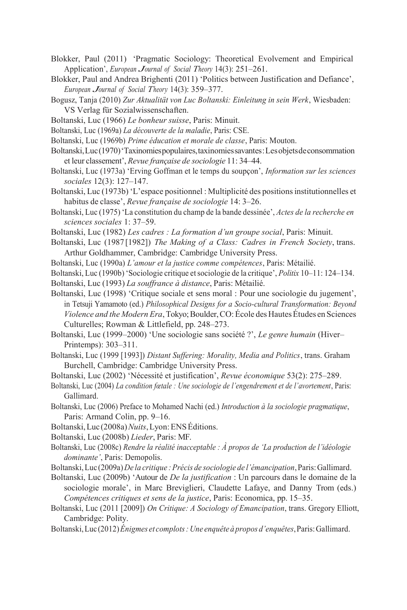- Blokker, Paul (2011) 'Pragmatic Sociology: Theoretical Evolvement and Empirical Application', *European Journal of Social Theory* 14(3): <sup>251</sup>–261.
- Blokker, Paul and Andrea Brighenti (2011) 'Politics between Justification and Defiance', *European Journal of Social Theory* 14(3): <sup>359</sup>–377.
- Bogusz, Tanja (2010) *Zur Aktualität von Luc Boltanski: Einleitung in sein Werk*, Wiesbaden: VS Verlag für Sozialwissenschaften.
- Boltanski, Luc (1966) *Le bonheur suisse*, Paris: Minuit.
- Boltanski, Luc (1969a) *La découverte de la maladie*, Paris: CSE.
- Boltanski, Luc (1969b) *Prime éducation et morale de classe*, Paris: Mouton.
- Boltanski,Luc(1970)'Taxinomiespopulaires,taxinomiessavantes:Lesobjetsdeconsommation et leur classement', *Revue française de sociologie* 11: 34–44.
- Boltanski, Luc (1973a) 'Erving Goffman et le temps du soupçon', *Information sur les sciences sociales* 12(3): 127–147.
- Boltanski, Luc (1973b) 'L'espace positionnel : Multiplicité des positions institutionnelles et habitus de classe', *Revue française de sociologie* 14: 3–26.
- Boltanski, Luc (1975) 'La constitution du champ de la bande dessinée', *Actes de la recherche en sciences sociales* 1: 37–59.
- Boltanski, Luc (1982) *Les cadres : La formation d'un groupe social*, Paris: Minuit.
- Boltanski, Luc (1987 [1982]) *The Making of a Class: Cadres in French Society*, trans. Arthur Goldhammer, Cambridge: Cambridge University Press.
- Boltanski, Luc (1990a) *L'amour et la justice comme compétences*, Paris: Métailié.
- Boltanski, Luc (1990b) 'Sociologie critique etsociologie de la critique', *Politix* 10–11: 124–134. Boltanski, Luc (1993) *La souffrance à distance*, Paris: Métailié.
- Boltanski, Luc (1998) 'Critique sociale et sens moral : Pour une sociologie du jugement', in Tetsuji Yamamoto (ed.) *Philosophical Designs for a Socio-cultural Transformation: Beyond Violence and the Modern Era*,Tokyo;Boulder,CO:École des HautesÉtudes en Sciences Culturelles; Rowman & Littlefield, pp. 248–273.

Boltanski, Luc (1999–2000) 'Une sociologie sans société ?', *Le genre humain* (Hiver– Printemps): 303–311.

- Boltanski, Luc (1999 [1993]) *Distant Suffering: Morality, Media and Politics*, trans. Graham Burchell, Cambridge: Cambridge University Press.
- Boltanski, Luc (2002) 'Nécessité et justification', *Revue économique* 53(2): 275–289.
- Boltanski, Luc (2004) *La condition fœtale : Une sociologie de l'engendrement et de l'avortement*, Paris: Gallimard.
- Boltanski, Luc (2006) Preface to Mohamed Nachi (ed.) *Introduction à la sociologie pragmatique*, Paris: Armand Colin, pp. 9–16.
- Boltanski,Luc (2008a)*Nuits*,Lyon:ENSÉditions.
- Boltanski, Luc (2008b) *Lieder*, Paris: MF.
- Boltanski, Luc (2008c) *Rendre la réalité inacceptable : À propos de 'La production de l'idéologie dominante'*, Paris: Demopolis.
- Boltanski,Luc (2009a) *De la critique :Précis de sociologie de l'émancipation*,Paris:Gallimard.

Boltanski, Luc (2009b) 'Autour de *De la justification* : Un parcours dans le domaine de la sociologie morale', in Marc Breviglieri, Claudette Lafaye, and Danny Trom (eds.) *Compétences critiques et sens de la justice*, Paris: Economica, pp. 15–35.

- Boltanski, Luc (2011 [2009]) *On Critique: A Sociology of Emancipation*, trans. Gregory Elliott, Cambridge: Polity.
- Boltanski,Luc (2012)*Énigmes et complots:Une enquête à propos d'enquêtes*,Paris:Gallimard.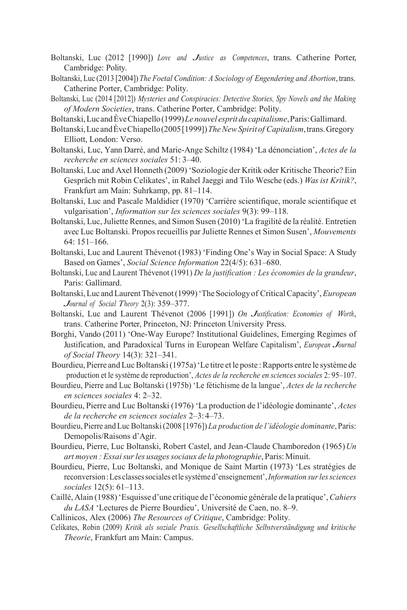- Boltanski, Luc (2012 [1990]) *Love and Justice as Competences*, trans. Catherine Porter, Cambridge: Polity.
- Boltanski, Luc (2013 [2004]) *The Foetal Condition: A Sociology of Engendering and Abortion*, trans. Catherine Porter, Cambridge: Polity.
- Boltanski, Luc (2014 [2012]) *Mysteries and Conspiracies: Detective Stories, Spy Novels and the Making of Modern Societies*, trans. Catherine Porter, Cambridge: Polity.

Boltanski,LucandÈveChiapello(1999)*Le nouvel esprit du capitalisme*,Paris:Gallimard.

- Boltanski,LucandÈveChiapello(2005[1999])*TheNewSpirit of Capitalism*,trans.Gregory Elliott, London: Verso.
- Boltanski, Luc, Yann Darré, and Marie-Ange Schiltz (1984) 'La dénonciation', *Actes de la recherche en sciences sociales* 51: 3–40.
- Boltanski, Luc and Axel Honneth (2009) 'Soziologie der Kritik oder Kritische Theorie? Ein Gespräch mit Robin Celikates', in Rahel Jaeggi and Tilo Wesche (eds.) *Was ist Kritik?*, Frankfurt am Main: Suhrkamp, pp. 81–114.
- Boltanski, Luc and Pascale Maldidier (1970) 'Carrière scientifique, morale scientifique et vulgarisation', *Information sur les sciences sociales* 9(3): 99–118.
- Boltanski, Luc, Juliette Rennes, and Simon Susen (2010) 'La fragilité de la réalité. Entretien avec Luc Boltanski. Propos recueillis par Juliette Rennes et Simon Susen', *Mouvements*  64: 151–166.
- Boltanski, Luc and Laurent Thévenot (1983) 'Finding One's Way in Social Space: A Study Based on Games', *Social Science Information* 22(4/5): 631–680.
- Boltanski, Luc and Laurent Thévenot (1991) *De la justification : Les économies de la grandeur*, Paris: Gallimard.
- Boltanski,Luc andLaurentThévenot(1999)'TheSociologyof CriticalCapacity',*European Journal of Social Theory* 2(3): <sup>359</sup>–377.
- Boltanski, Luc and Laurent Thévenot (2006 [1991]) *On Justification: Economies of Worth*, trans. Catherine Porter, Princeton, NJ: Princeton University Press.
- Borghi, Vando (2011) 'One-Way Europe? Institutional Guidelines, Emerging Regimes of Justification, and Paradoxical Turns in European Welfare Capitalism', *European Journal of Social Theory* 14(3): 321–341.
- Bourdieu, Pierre and Luc Boltanski (1975a) 'Le titre et le poste : Rapports entre le système de production et le système de reproduction', *Actes de la recherche en sciences sociales* 2: 95–107.
- Bourdieu, Pierre and Luc Boltanski (1975b) 'Le fétichisme de la langue', *Actes de la recherche en sciences sociales* 4: 2–32.
- Bourdieu, Pierre and Luc Boltanski (1976) 'La production de l'idéologie dominante', *Actes de la recherche en sciences sociales* 2–3:4–73.
- Bourdieu, Pierre and Luc Boltanski(2008 [1976]) *La production de l'idéologie dominante*, Paris: Demopolis/Raisons d'Agir.
- Bourdieu, Pierre, Luc Boltanski, Robert Castel, and Jean-Claude Chamboredon (1965)*Un art moyen : Essaisurles usagessociaux de la photographie*,Paris:Minuit.
- Bourdieu, Pierre, Luc Boltanski, and Monique de Saint Martin (1973) 'Les stratégies de reconversion:Les classessociales etle système d'enseignement',*Information surlessciences sociales* 12(5): 61–113.
- Caillé, Alain (1988)'Esquisse d'une critique de l'économie générale de la pratique',*Cahiers du LASA* 'Lectures de Pierre Bourdieu', Université de Caen, no. 8–9.

Callinicos, Alex (2006) *The Resources of Critique*, Cambridge: Polity.

Celikates, Robin (2009) *Kritik als soziale Praxis. Gesellschaftliche Selbstverständigung und kritische Theorie*, Frankfurt am Main: Campus.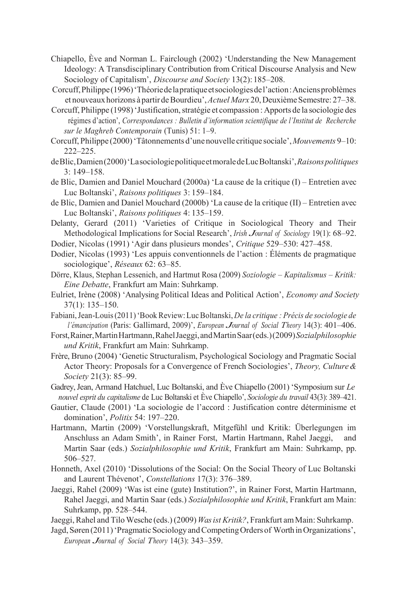- Chiapello, Ève and Norman L. Fairclough (2002) 'Understanding the New Management Ideology: A Transdisciplinary Contribution from Critical Discourse Analysis and New Sociology of Capitalism', *Discourse and Society* 13(2):185–208.
- Corcuff,Philippe(1996)'Théoriedelapratiqueetsociologiesdel'action:Anciensproblèmes et nouveaux horizons à partir de Bourdieu', Actuel Marx 20, Deuxième Semestre: 27-38.
- Corcuff, Philippe (1998) 'Justification, stratégie et compassion : Apports de la sociologie des régimes d'action', *Correspondances : Bulletin d'information scientifique de l'Institut de Recherche sur le Maghreb Contemporain* (Tunis) 51: 1–9.
- Corcuff,Philippe (2000)'Tâtonnements d'une nouvelle critique sociale',*Mouvements* 9–10: 222–225.
- deBlic,Damien(2000)'LasociologiepolitiqueetmoraledeLucBoltanski',*Raisonspolitiques* 3: 149–158.
- de Blic, Damien and Daniel Mouchard (2000a) 'La cause de la critique (I) Entretien avec Luc Boltanski', *Raisons politiques* 3: 159–184.
- de Blic, Damien and Daniel Mouchard (2000b) 'La cause de la critique (II) Entretien avec Luc Boltanski', *Raisons politiques* 4: 135–159.
- Delanty, Gerard (2011) 'Varieties of Critique in Sociological Theory and Their Methodological Implications for Social Research', *Irish Journal of Sociology* 19(1): <sup>68</sup>–92.
- Dodier, Nicolas (1991) 'Agir dans plusieurs mondes', *Critique* 529–530: 427–458.
- Dodier, Nicolas (1993) 'Les appuis conventionnels de l'action : Éléments de pragmatique sociologique', *Réseaux* 62: 63–85.
- Dörre, Klaus, Stephan Lessenich, and Hartmut Rosa (2009) *Soziologie – Kapitalismus – Kritik: Eine Debatte*, Frankfurt am Main: Suhrkamp.
- Eulriet, Irène (2008) 'Analysing Political Ideas and Political Action', *Economy and Society* 37(1): 135–150.
- Fabiani,Jean-Louis(2011)'BookReview:LucBoltanski, *De la critique : Précis de sociologie de l'émancipation* (Paris: Gallimard, 2009)', *European Journal of Social Theory* 14(3): <sup>401</sup>–406.
- Forst,Rainer,MartinHartmann,RahelJaeggi,andMartinSaar(eds.)(2009)*Sozialphilosophie und Kritik*, Frankfurt am Main: Suhrkamp.
- Frère, Bruno (2004) 'Genetic Structuralism, Psychological Sociology and Pragmatic Social Actor Theory: Proposals for a Convergence of French Sociologies', *Theory, Culture& Society* 21(3): 85–99.
- Gadrey, Jean, Armand Hatchuel, Luc Boltanski, and Ève Chiapello (2001) 'Symposium sur *Le nouvel esprit du capitalisme* de Luc Boltanski et Ève Chiapello', *Sociologie du travail* 43(3): 389–421.
- Gautier, Claude (2001) 'La sociologie de l'accord : Justification contre déterminisme et domination', *Politix* 54: 197–220.
- Hartmann, Martin (2009) 'Vorstellungskraft, Mitgefühl und Kritik: Überlegungen im Anschluss an Adam Smith', in Rainer Forst, Martin Hartmann, Rahel Jaeggi, and Martin Saar (eds.) *Sozialphilosophie und Kritik*, Frankfurt am Main: Suhrkamp, pp. 506–527.
- Honneth, Axel (2010) 'Dissolutions of the Social: On the Social Theory of Luc Boltanski and Laurent Thévenot', *Constellations* 17(3): 376–389.
- Jaeggi, Rahel (2009) 'Was ist eine (gute) Institution?', in Rainer Forst, Martin Hartmann, Rahel Jaeggi, and Martin Saar (eds.) *Sozialphilosophie und Kritik*, Frankfurt am Main: Suhrkamp, pp. 528–544.
- Jaeggi, Rahel and Tilo Wesche (eds.)(2009) Was ist Kritik?, Frankfurt am Main: Suhrkamp.
- Jagd,Søren (2011)'PragmaticSociologyandCompetingOrdersof Worth inOrganizations', *European Journal of Social Theory* 14(3): <sup>343</sup>–359.